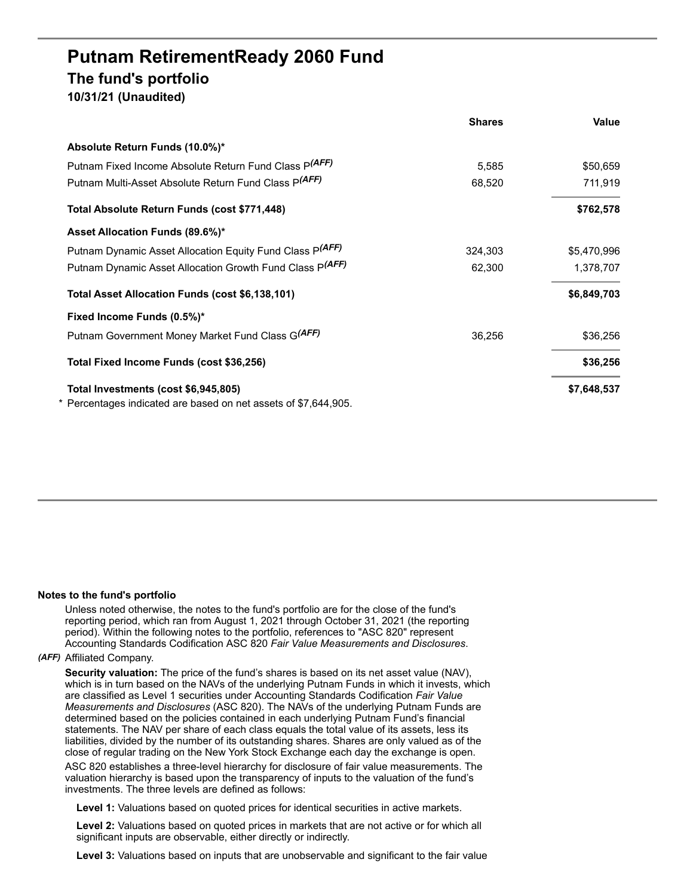# **Putnam RetirementReady 2060 Fund The fund's portfolio 10/31/21 (Unaudited)**

|                                                                 | <b>Shares</b> | Value       |
|-----------------------------------------------------------------|---------------|-------------|
| Absolute Return Funds (10.0%)*                                  |               |             |
| Putnam Fixed Income Absolute Return Fund Class P(AFF)           | 5,585         | \$50,659    |
| Putnam Multi-Asset Absolute Return Fund Class P(AFF)            | 68,520        | 711,919     |
| Total Absolute Return Funds (cost \$771,448)                    |               | \$762,578   |
| Asset Allocation Funds (89.6%)*                                 |               |             |
| Putnam Dynamic Asset Allocation Equity Fund Class P(AFF)        | 324,303       | \$5,470,996 |
| Putnam Dynamic Asset Allocation Growth Fund Class P(AFF)        | 62,300        | 1,378,707   |
| Total Asset Allocation Funds (cost \$6,138,101)                 |               | \$6,849,703 |
| Fixed Income Funds (0.5%)*                                      |               |             |
| Putnam Government Money Market Fund Class G(AFF)                | 36,256        | \$36,256    |
| Total Fixed Income Funds (cost \$36,256)                        |               | \$36,256    |
| Total Investments (cost \$6,945,805)                            |               | \$7,648,537 |
| * Percentages indicated are based on net assets of \$7,644,905. |               |             |

## **Notes to the fund's portfolio**

Unless noted otherwise, the notes to the fund's portfolio are for the close of the fund's reporting period, which ran from August 1, 2021 through October 31, 2021 (the reporting period). Within the following notes to the portfolio, references to "ASC 820" represent Accounting Standards Codification ASC 820 *Fair Value Measurements and Disclosures*.

## *(AFF)* Affiliated Company.

**Security valuation:** The price of the fund's shares is based on its net asset value (NAV), which is in turn based on the NAVs of the underlying Putnam Funds in which it invests, which are classified as Level 1 securities under Accounting Standards Codification *Fair Value Measurements and Disclosures* (ASC 820). The NAVs of the underlying Putnam Funds are determined based on the policies contained in each underlying Putnam Fund's financial statements. The NAV per share of each class equals the total value of its assets, less its liabilities, divided by the number of its outstanding shares. Shares are only valued as of the close of regular trading on the New York Stock Exchange each day the exchange is open.

ASC 820 establishes a three-level hierarchy for disclosure of fair value measurements. The valuation hierarchy is based upon the transparency of inputs to the valuation of the fund's investments. The three levels are defined as follows:

**Level 1:** Valuations based on quoted prices for identical securities in active markets.

**Level 2:** Valuations based on quoted prices in markets that are not active or for which all significant inputs are observable, either directly or indirectly.

**Level 3:** Valuations based on inputs that are unobservable and significant to the fair value